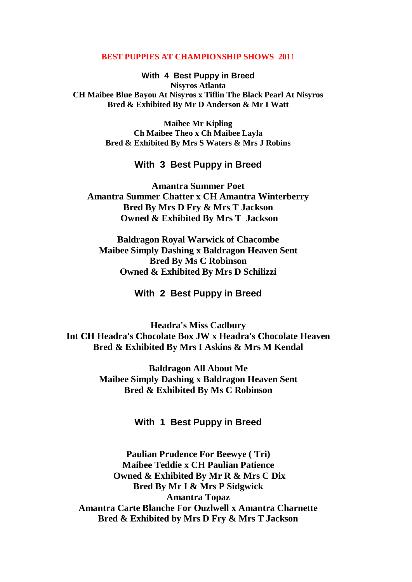## **BEST PUPPIES AT CHAMPIONSHIP SHOWS 201**1

**With 4 Best Puppy in Breed Nisyros Atlanta CH Maibee Blue Bayou At Nisyros x Tiflin The Black Pearl At Nisyros Bred & Exhibited By Mr D Anderson & Mr I Watt**

> **Maibee Mr Kipling Ch Maibee Theo x Ch Maibee Layla Bred & Exhibited By Mrs S Waters & Mrs J Robins**

## **With 3 Best Puppy in Breed**

**Amantra Summer Poet Amantra Summer Chatter x CH Amantra Winterberry Bred By Mrs D Fry & Mrs T Jackson Owned & Exhibited By Mrs T Jackson**

**Baldragon Royal Warwick of Chacombe Maibee Simply Dashing x Baldragon Heaven Sent Bred By Ms C Robinson Owned & Exhibited By Mrs D Schilizzi**

## **With 2 Best Puppy in Breed**

**Headra's Miss Cadbury Int CH Headra's Chocolate Box JW x Headra's Chocolate Heaven Bred & Exhibited By Mrs I Askins & Mrs M Kendal**

> **Baldragon All About Me Maibee Simply Dashing x Baldragon Heaven Sent Bred & Exhibited By Ms C Robinson**

> > **With 1 Best Puppy in Breed**

**Paulian Prudence For Beewye ( Tri) Maibee Teddie x CH Paulian Patience Owned & Exhibited By Mr R & Mrs C Dix Bred By Mr I & Mrs P Sidgwick Amantra Topaz Amantra Carte Blanche For Ouzlwell x Amantra Charnette Bred & Exhibited by Mrs D Fry & Mrs T Jackson**